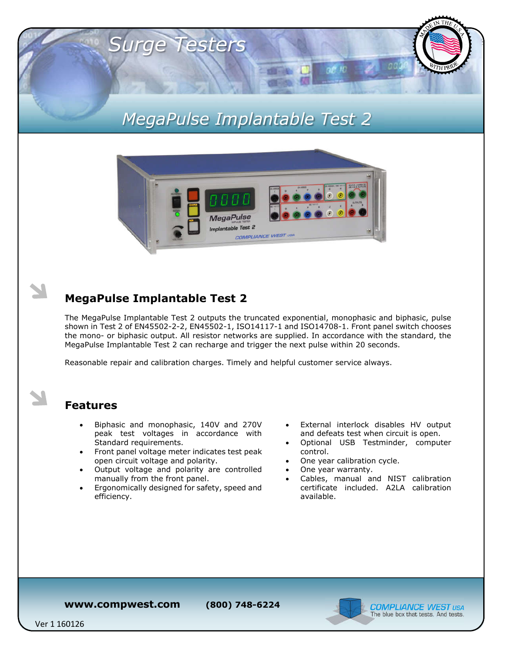# *MegaPulse Implantable Test 2*



## **MegaPulse Implantable Test 2**

*Surge Testers*

The MegaPulse Implantable Test 2 outputs the truncated exponential, monophasic and biphasic, pulse shown in Test 2 of EN45502-2-2, EN45502-1, ISO14117-1 and ISO14708-1. Front panel switch chooses the mono- or biphasic output. All resistor networks are supplied. In accordance with the standard, the MegaPulse Implantable Test 2 can recharge and trigger the next pulse within 20 seconds.

Reasonable repair and calibration charges. Timely and helpful customer service always.

#### **Features**

- Biphasic and monophasic, 140V and 270V peak test voltages in accordance with Standard requirements.
- Front panel voltage meter indicates test peak open circuit voltage and polarity.
- Output voltage and polarity are controlled manually from the front panel.
- Ergonomically designed for safety, speed and efficiency.
- External interlock disables HV output and defeats test when circuit is open.
- Optional USB Testminder, computer control.
- One year calibration cycle.
- One year warranty.
- Cables, manual and NIST calibration certificate included. A2LA calibration available.

**www.compwest.com (800) 748-6224**



Ver 1 160126